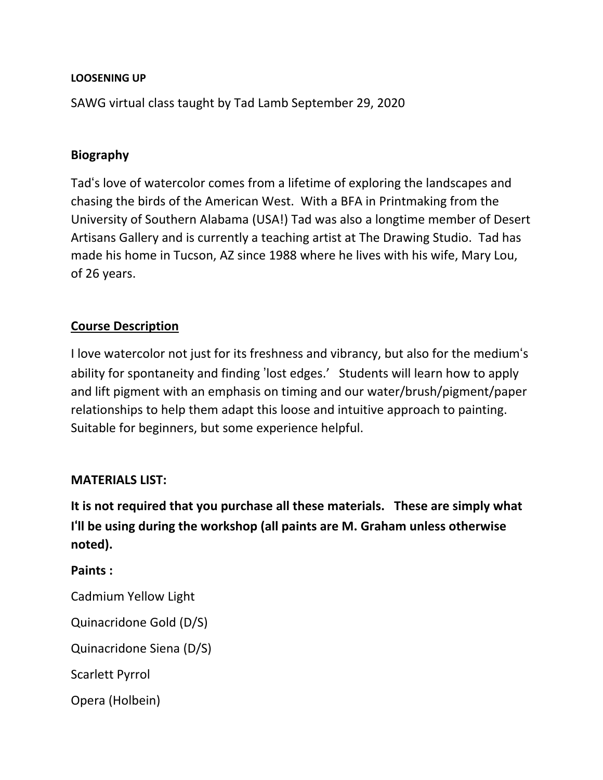#### **LOOSENING UP**

SAWG virtual class taught by Tad Lamb September 29, 2020

### **Biography**

Tad's love of watercolor comes from a lifetime of exploring the landscapes and chasing the birds of the American West. With a BFA in Printmaking from the University of Southern Alabama (USA!) Tad was also a longtime member of Desert Artisans Gallery and is currently a teaching artist at The Drawing Studio. Tad has made his home in Tucson, AZ since 1988 where he lives with his wife, Mary Lou, of 26 years.

## **Course Description**

I love watercolor not just for its freshness and vibrancy, but also for the medium's ability for spontaneity and finding 'lost edges.' Students will learn how to apply and lift pigment with an emphasis on timing and our water/brush/pigment/paper relationships to help them adapt this loose and intuitive approach to painting. Suitable for beginners, but some experience helpful.

#### **MATERIALS LIST:**

**It is not required that you purchase all these materials. These are simply what I**'**ll be using during the workshop (all paints are M. Graham unless otherwise noted).**

#### **Paints :**

Cadmium Yellow Light

Quinacridone Gold (D/S)

Quinacridone Siena (D/S)

Scarlett Pyrrol

Opera (Holbein)